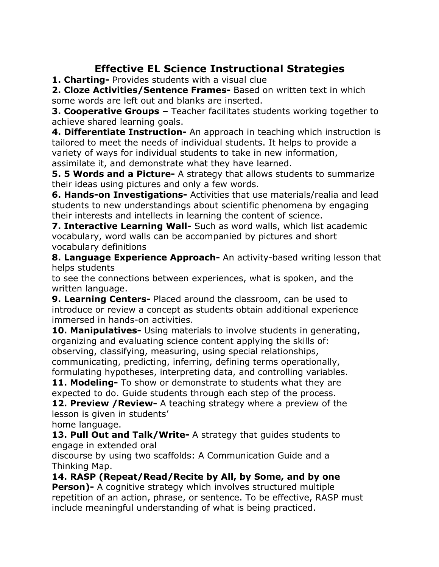## **Effective EL Science Instructional Strategies**

**1. Charting-** Provides students with a visual clue

**2. Cloze Activities/Sentence Frames-** Based on written text in which some words are left out and blanks are inserted.

**3. Cooperative Groups –** Teacher facilitates students working together to achieve shared learning goals.

**4. Differentiate Instruction-** An approach in teaching which instruction is tailored to meet the needs of individual students. It helps to provide a variety of ways for individual students to take in new information, assimilate it, and demonstrate what they have learned.

**5. 5 Words and a Picture-** A strategy that allows students to summarize their ideas using pictures and only a few words.

**6. Hands-on Investigations-** Activities that use materials/realia and lead students to new understandings about scientific phenomena by engaging their interests and intellects in learning the content of science.

**7. Interactive Learning Wall-** Such as word walls, which list academic vocabulary, word walls can be accompanied by pictures and short vocabulary definitions

**8. Language Experience Approach-** An activity-based writing lesson that helps students

to see the connections between experiences, what is spoken, and the written language.

**9. Learning Centers-** Placed around the classroom, can be used to introduce or review a concept as students obtain additional experience immersed in hands-on activities.

**10. Manipulatives-** Using materials to involve students in generating, organizing and evaluating science content applying the skills of: observing, classifying, measuring, using special relationships, communicating, predicting, inferring, defining terms operationally, formulating hypotheses, interpreting data, and controlling variables.

**11. Modeling-** To show or demonstrate to students what they are expected to do. Guide students through each step of the process.

**12. Preview /Review-** A teaching strategy where a preview of the lesson is given in students'

home language.

**13. Pull Out and Talk/Write-** A strategy that guides students to engage in extended oral

discourse by using two scaffolds: A Communication Guide and a Thinking Map.

**14. RASP (Repeat/Read/Recite by All, by Some, and by one**

**Person)-** A cognitive strategy which involves structured multiple repetition of an action, phrase, or sentence. To be effective, RASP must include meaningful understanding of what is being practiced.